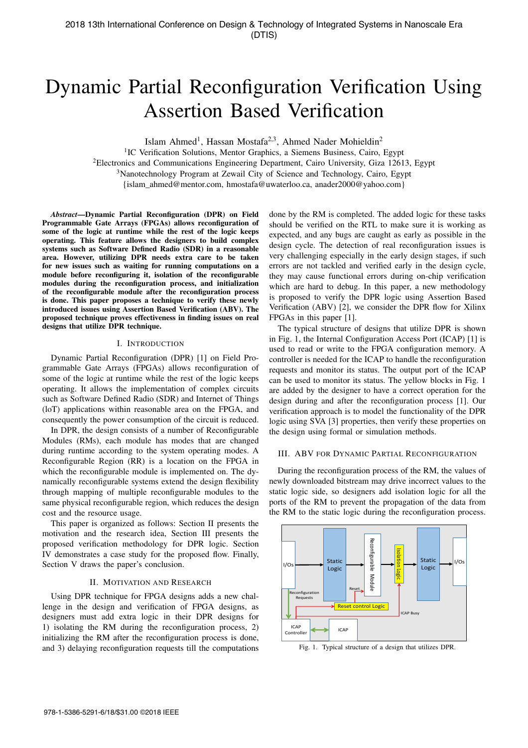# Dynamic Partial Reconfiguration Verification Using Assertion Based Verification

Islam Ahmed<sup>1</sup>, Hassan Mostafa<sup>2,3</sup>, Ahmed Nader Mohieldin<sup>2</sup>

<sup>1</sup>IC Verification Solutions, Mentor Graphics, a Siemens Business, Cairo, Egypt

<sup>2</sup>Electronics and Communications Engineering Department, Cairo University, Giza 12613, Egypt

<sup>3</sup>Nanotechnology Program at Zewail City of Science and Technology, Cairo, Egypt

{islam\_ahmed@mentor.com, hmostafa@uwaterloo.ca, anader2000@yahoo.com}

*Abstract*—Dynamic Partial Reconfiguration (DPR) on Field Programmable Gate Arrays (FPGAs) allows reconfiguration of some of the logic at runtime while the rest of the logic keeps operating. This feature allows the designers to build complex systems such as Software Defined Radio (SDR) in a reasonable area. However, utilizing DPR needs extra care to be taken for new issues such as waiting for running computations on a module before reconfiguring it, isolation of the reconfigurable modules during the reconfiguration process, and initialization of the reconfigurable module after the reconfiguration process is done. This paper proposes a technique to verify these newly introduced issues using Assertion Based Verification (ABV). The proposed technique proves effectiveness in finding issues on real designs that utilize DPR technique.

#### I. INTRODUCTION

Dynamic Partial Reconfiguration (DPR) [1] on Field Programmable Gate Arrays (FPGAs) allows reconfiguration of some of the logic at runtime while the rest of the logic keeps operating. It allows the implementation of complex circuits such as Software Defined Radio (SDR) and Internet of Things (loT) applications within reasonable area on the FPGA, and consequently the power consumption of the circuit is reduced.

In DPR, the design consists of a number of Reconfigurable Modules (RMs), each module has modes that are changed during runtime according to the system operating modes. A Reconfigurable Region (RR) is a location on the FPGA in which the reconfigurable module is implemented on. The dynamically reconfigurable systems extend the design flexibility through mapping of multiple reconfigurable modules to the same physical reconfigurable region, which reduces the design cost and the resource usage.

This paper is organized as follows: Section II presents the motivation and the research idea, Section III presents the proposed verification methodology for DPR logic. Section IV demonstrates a case study for the proposed flow. Finally, Section V draws the paper's conclusion.

## II. MOTIVATION AND RESEARCH

Using DPR technique for FPGA designs adds a new challenge in the design and verification of FPGA designs, as designers must add extra logic in their DPR designs for 1) isolating the RM during the reconfiguration process, 2) initializing the RM after the reconfiguration process is done, and 3) delaying reconfiguration requests till the computations

done by the RM is completed. The added logic for these tasks should be verified on the RTL to make sure it is working as expected, and any bugs are caught as early as possible in the design cycle. The detection of real reconfiguration issues is very challenging especially in the early design stages, if such errors are not tackled and verified early in the design cycle, they may cause functional errors during on-chip verification which are hard to debug. In this paper, a new methodology is proposed to verify the DPR logic using Assertion Based Verification (ABV) [2], we consider the DPR flow for Xilinx FPGAs in this paper [1].

The typical structure of designs that utilize DPR is shown in Fig. 1, the Internal Configuration Access Port (ICAP) [1] is used to read or write to the FPGA configuration memory. A controller is needed for the ICAP to handle the reconfiguration requests and monitor its status. The output port of the ICAP can be used to monitor its status. The yellow blocks in Fig. 1 are added by the designer to have a correct operation for the design during and after the reconfiguration process [1]. Our verification approach is to model the functionality of the DPR logic using SVA [3] properties, then verify these properties on the design using formal or simulation methods.

### III. ABV FOR DYNAMIC PARTIAL RECONFIGURATION

During the reconfiguration process of the RM, the values of newly downloaded bitstream may drive incorrect values to the static logic side, so designers add isolation logic for all the ports of the RM to prevent the propagation of the data from the RM to the static logic during the reconfiguration process.



Fig. 1. Typical structure of a design that utilizes DPR.